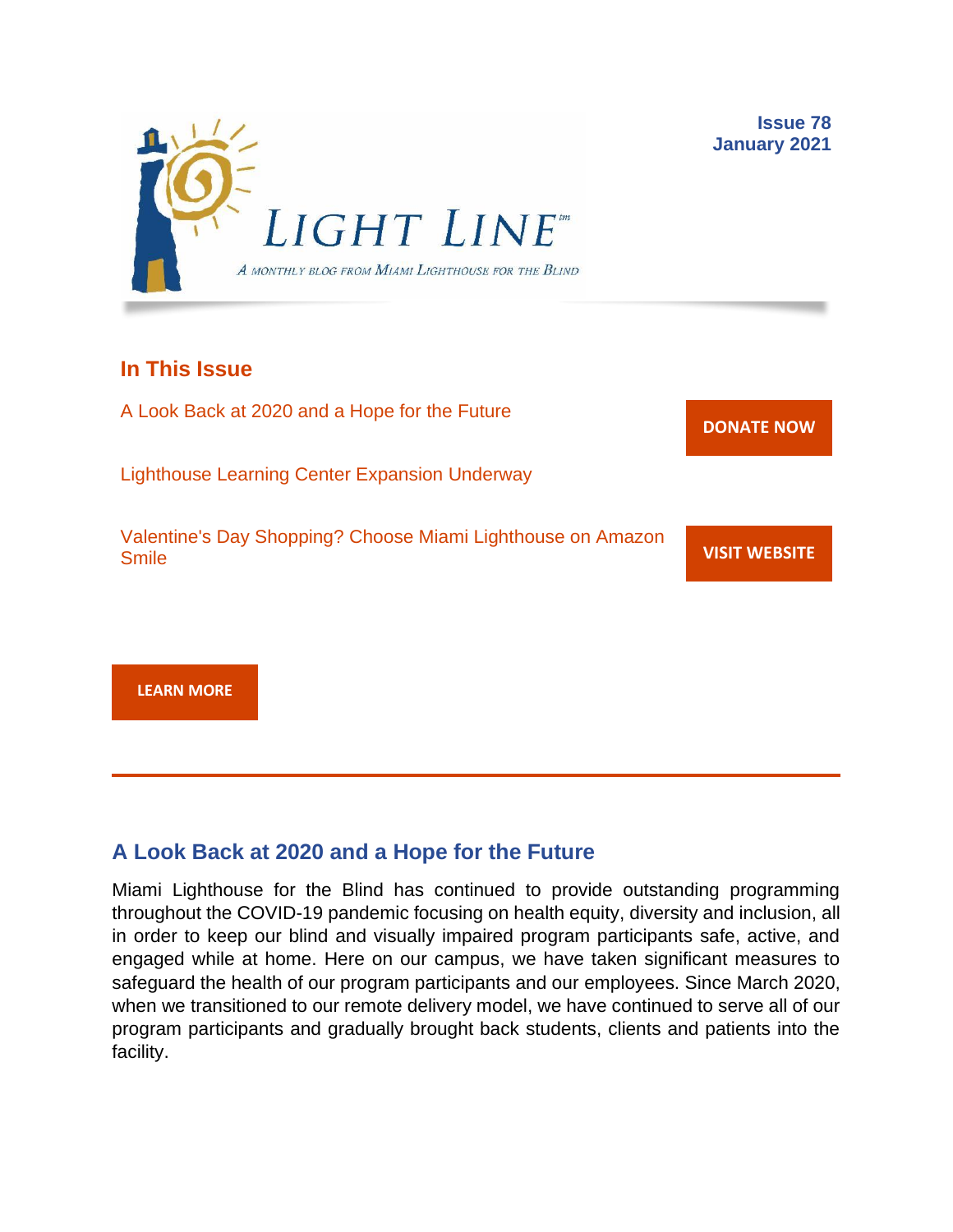

### **In This Issue**

A Look Back at 2020 and a Hope for the Future

Lighthouse Learning Center Expansion Underway

Valentine's Day Shopping? Choose Miami Lighthouse on Amazon Smile

**[DONATE](http://r20.rs6.net/tn.jsp?f=001gO2GdS4FPEo240mg91k3c6HYN6ozMk69i8vrHipkUVt0nirc6iRjFsnZMWQfGpPyX5jA608dzGsffulXhDWN87JpF0RNMOsrEiEcR9KIVEjaVePiHS9eny3wE9Zh3DibFuDj7zvtMQCXwVbtALXi3_cnEJaT8XURz8jTt9N4yGe0rF3VoM8Y5mGhwRavYQ9CBe_fM4GbcQM=&c=A5xWHdmKDISdqoVssYAkMfhtdAlzuVskAHp3ASewWzRv5OnB7XubeA==&ch=KFi9wV6k5Z13Ef8Qia4fM-L584mfsNs0RWKjkNv-Bombmn4mZKg5Lw==) NOW**

**VISIT [WEBSITE](http://r20.rs6.net/tn.jsp?f=001gO2GdS4FPEo240mg91k3c6HYN6ozMk69i8vrHipkUVt0nirc6iRjFp5OLUPp5xz8iJ7cM7NxB4ho-pmJZegg-UUCCff2BfEg0hVFNWmithw5L76cpbdpMlw1ZgIRlQC6OwIp0zOZvc1jcAvQYtup6ODb3HvWFX4_CFaBZinytweEHJSIK44w1g==&c=A5xWHdmKDISdqoVssYAkMfhtdAlzuVskAHp3ASewWzRv5OnB7XubeA==&ch=KFi9wV6k5Z13Ef8Qia4fM-L584mfsNs0RWKjkNv-Bombmn4mZKg5Lw==)**

**[LEARN MORE](http://www.miamilighthouse.org)**

## **A Look Back at 2020 and a Hope for the Future**

Miami Lighthouse for the Blind has continued to provide outstanding programming throughout the COVID-19 pandemic focusing on health equity, diversity and inclusion, all in order to keep our blind and visually impaired program participants safe, active, and engaged while at home. Here on our campus, we have taken significant measures to safeguard the health of our program participants and our employees. Since March 2020, when we transitioned to our remote delivery model, we have continued to serve all of our program participants and gradually brought back students, clients and patients into the facility.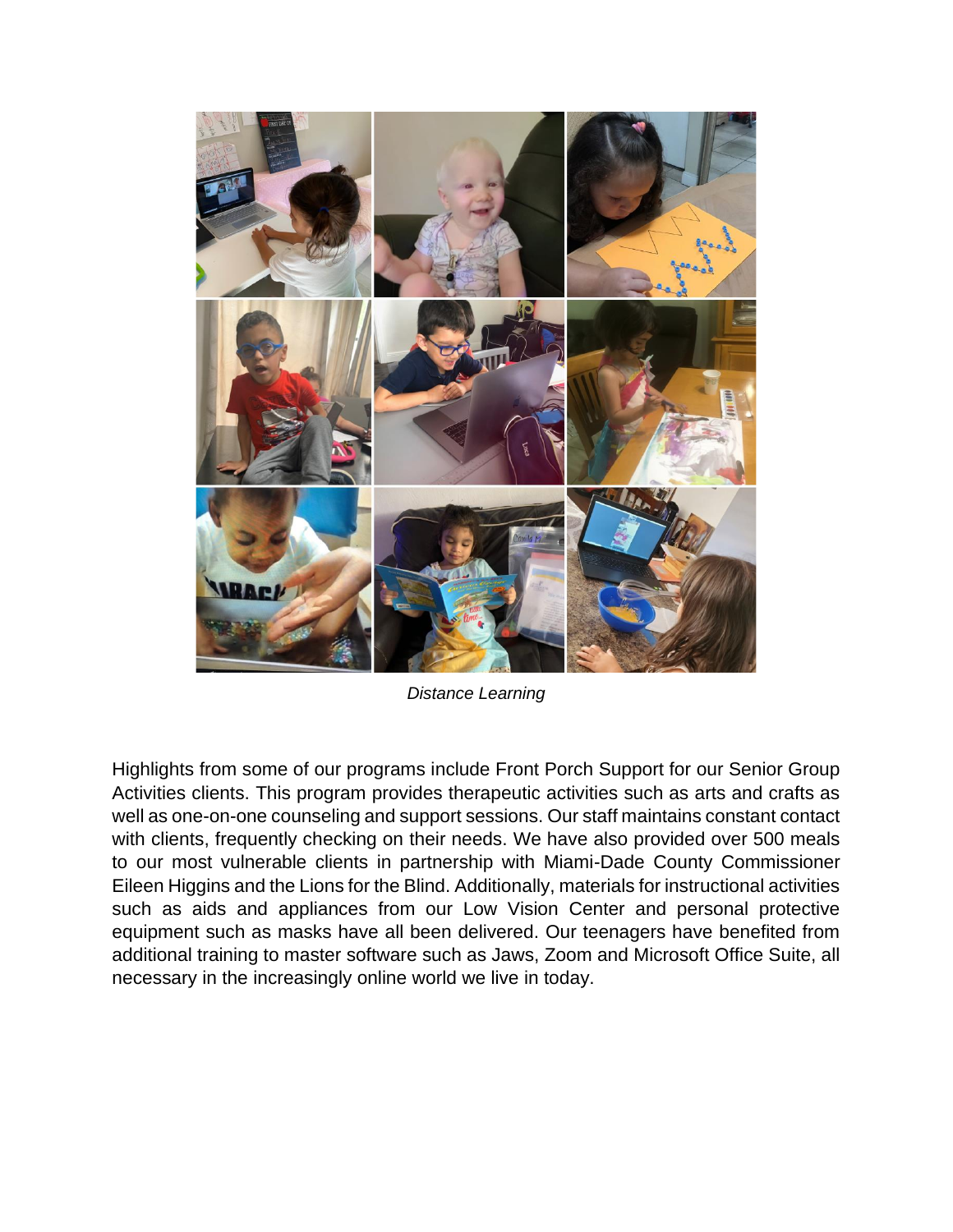

*Distance Learning*

Highlights from some of our programs include Front Porch Support for our Senior Group Activities clients. This program provides therapeutic activities such as arts and crafts as well as one-on-one counseling and support sessions. Our staff maintains constant contact with clients, frequently checking on their needs. We have also provided over 500 meals to our most vulnerable clients in partnership with Miami-Dade County Commissioner Eileen Higgins and the Lions for the Blind. Additionally, materials for instructional activities such as aids and appliances from our Low Vision Center and personal protective equipment such as masks have all been delivered. Our teenagers have benefited from additional training to master software such as Jaws, Zoom and Microsoft Office Suite, all necessary in the increasingly online world we live in today.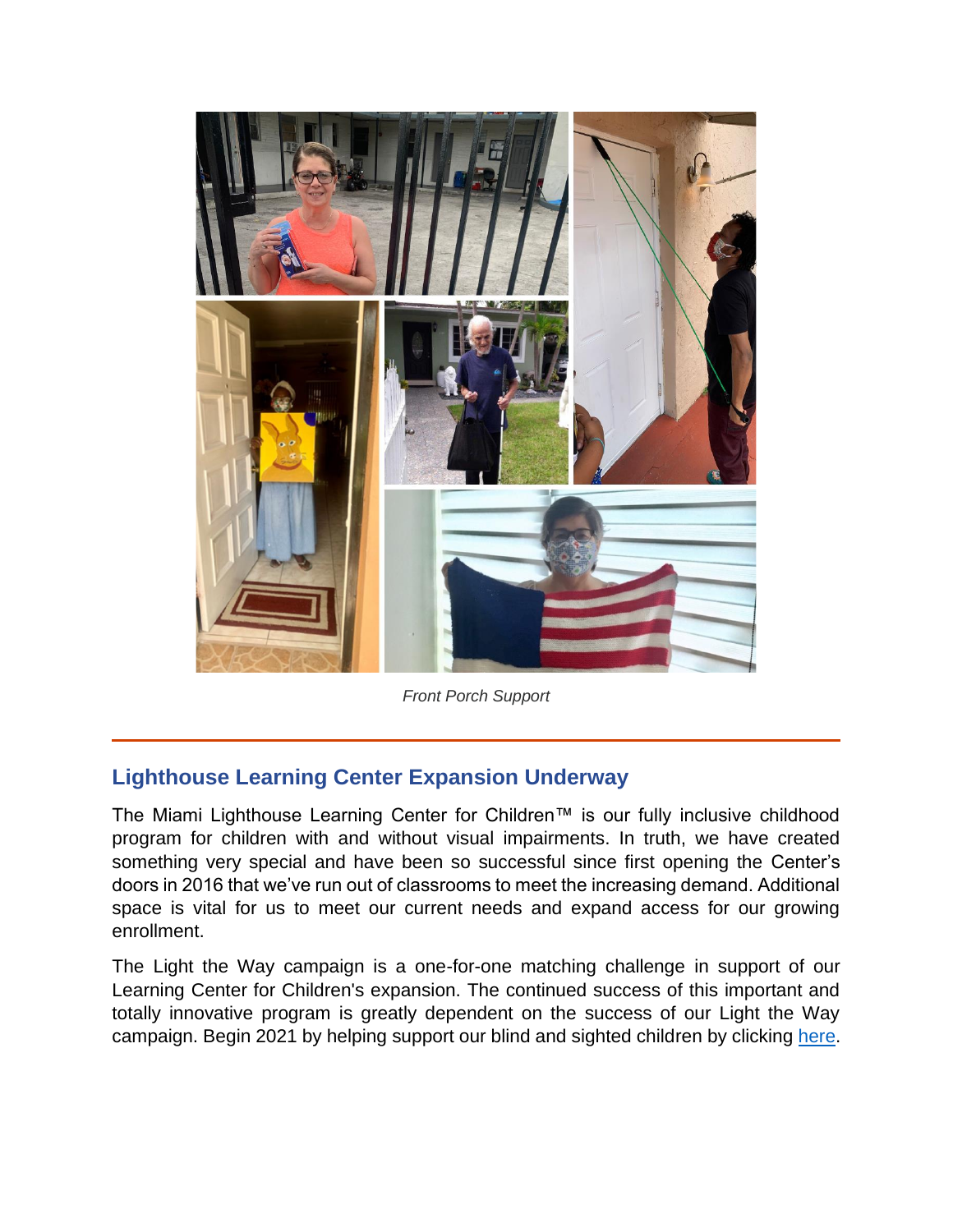

*Front Porch Support*

## **Lighthouse Learning Center Expansion Underway**

The Miami Lighthouse Learning Center for Children™ is our fully inclusive childhood program for children with and without visual impairments. In truth, we have created something very special and have been so successful since first opening the Center's doors in 2016 that we've run out of classrooms to meet the increasing demand. Additional space is vital for us to meet our current needs and expand access for our growing enrollment.

The Light the Way campaign is a one-for-one matching challenge in support of our Learning Center for Children's expansion. The continued success of this important and totally innovative program is greatly dependent on the success of our Light the Way campaign. Begin 2021 by helping support our blind and sighted children by clicking [here.](https://secure.miamilighthouse.org/LightTheWayChallenge.asp)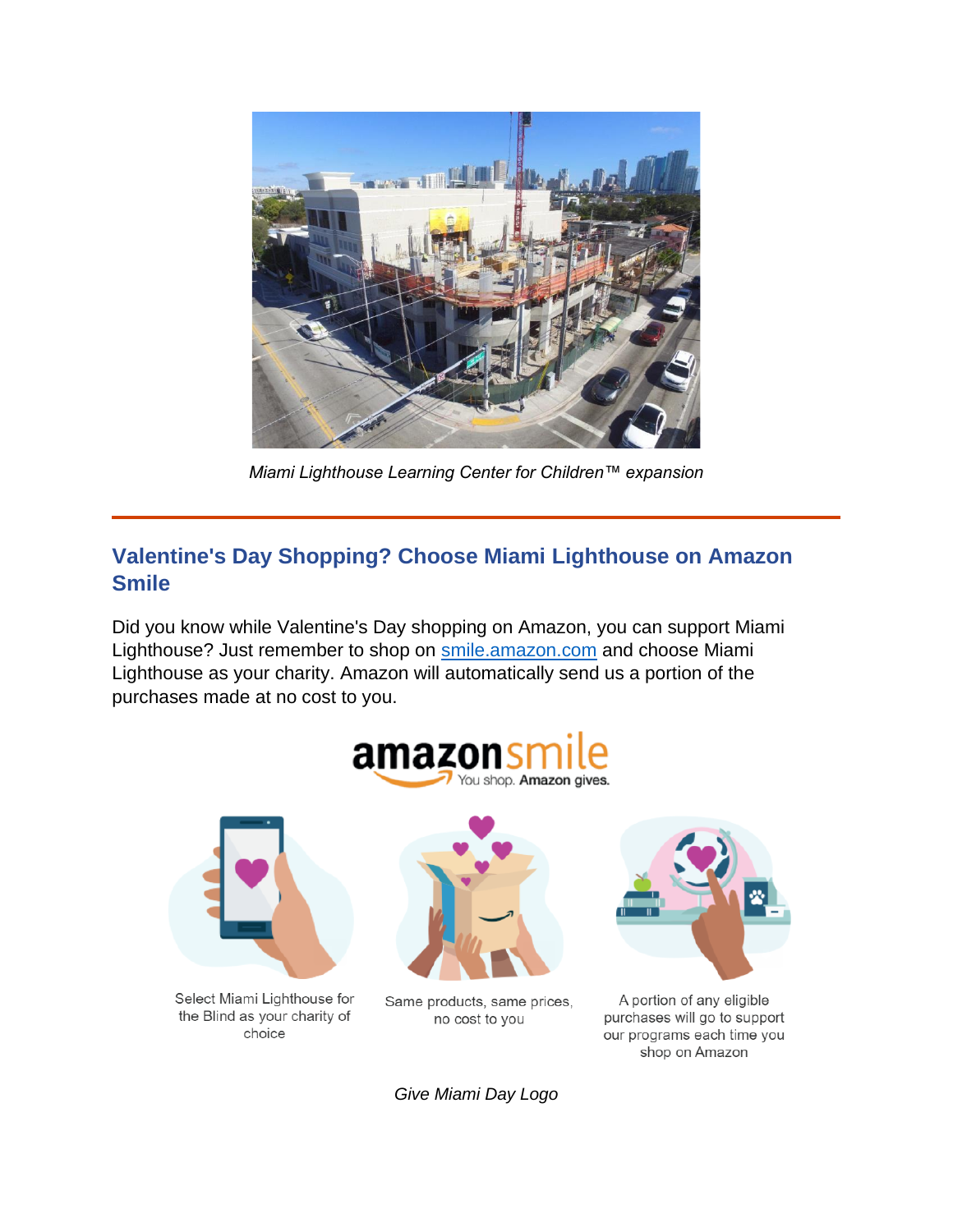

*Miami Lighthouse Learning Center for Children™ expansion*

# **Valentine's Day Shopping? Choose Miami Lighthouse on Amazon Smile**

Did you know while Valentine's Day shopping on Amazon, you can support Miami Lighthouse? Just remember to shop on [smile.amazon.com](https://smile.amazon.com/) and choose Miami Lighthouse as your charity. Amazon will automatically send us a portion of the purchases made at no cost to you.



*Give Miami Day Logo*